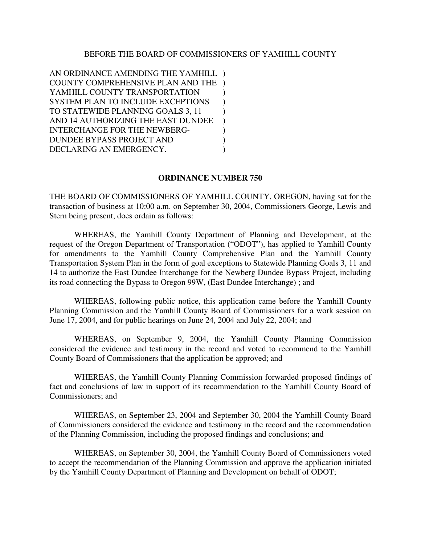#### BEFORE THE BOARD OF COMMISSIONERS OF YAMHILL COUNTY

AN ORDINANCE AMENDING THE YAMHILL ) COUNTY COMPREHENSIVE PLAN AND THE ) YAMHILL COUNTY TRANSPORTATION  $\qquad$ ) SYSTEM PLAN TO INCLUDE EXCEPTIONS ) TO STATEWIDE PLANNING GOALS 3, 11 AND 14 AUTHORIZING THE EAST DUNDEE ) INTERCHANGE FOR THE NEWBERG-  $)$ DUNDEE BYPASS PROJECT AND ) DECLARING AN EMERGENCY.

#### **ORDINANCE NUMBER 750**

THE BOARD OF COMMISSIONERS OF YAMHILL COUNTY, OREGON, having sat for the transaction of business at 10:00 a.m. on September 30, 2004, Commissioners George, Lewis and Stern being present, does ordain as follows:

WHEREAS, the Yamhill County Department of Planning and Development, at the request of the Oregon Department of Transportation ("ODOT"), has applied to Yamhill County for amendments to the Yamhill County Comprehensive Plan and the Yamhill County Transportation System Plan in the form of goal exceptions to Statewide Planning Goals 3, 11 and 14 to authorize the East Dundee Interchange for the Newberg Dundee Bypass Project, including its road connecting the Bypass to Oregon 99W, (East Dundee Interchange) ; and

WHEREAS, following public notice, this application came before the Yamhill County Planning Commission and the Yamhill County Board of Commissioners for a work session on June 17, 2004, and for public hearings on June 24, 2004 and July 22, 2004; and

WHEREAS, on September 9, 2004, the Yamhill County Planning Commission considered the evidence and testimony in the record and voted to recommend to the Yamhill County Board of Commissioners that the application be approved; and

WHEREAS, the Yamhill County Planning Commission forwarded proposed findings of fact and conclusions of law in support of its recommendation to the Yamhill County Board of Commissioners; and

WHEREAS, on September 23, 2004 and September 30, 2004 the Yamhill County Board of Commissioners considered the evidence and testimony in the record and the recommendation of the Planning Commission, including the proposed findings and conclusions; and

WHEREAS, on September 30, 2004, the Yamhill County Board of Commissioners voted to accept the recommendation of the Planning Commission and approve the application initiated by the Yamhill County Department of Planning and Development on behalf of ODOT;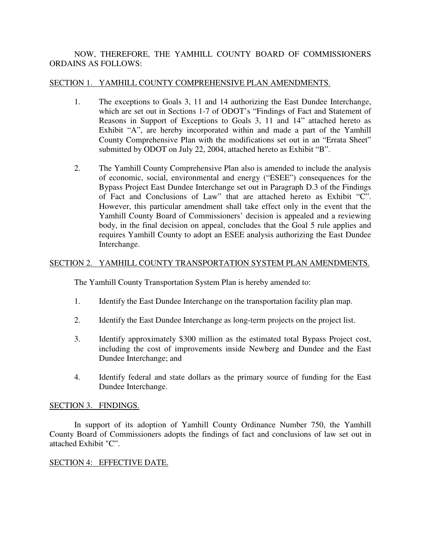# NOW, THEREFORE, THE YAMHILL COUNTY BOARD OF COMMISSIONERS ORDAINS AS FOLLOWS:

### SECTION 1. YAMHILL COUNTY COMPREHENSIVE PLAN AMENDMENTS.

- 1. The exceptions to Goals 3, 11 and 14 authorizing the East Dundee Interchange, which are set out in Sections 1-7 of ODOT's "Findings of Fact and Statement of Reasons in Support of Exceptions to Goals 3, 11 and 14" attached hereto as Exhibit "A", are hereby incorporated within and made a part of the Yamhill County Comprehensive Plan with the modifications set out in an "Errata Sheet" submitted by ODOT on July 22, 2004, attached hereto as Exhibit "B".
- 2. The Yamhill County Comprehensive Plan also is amended to include the analysis of economic, social, environmental and energy ("ESEE") consequences for the Bypass Project East Dundee Interchange set out in Paragraph D.3 of the Findings of Fact and Conclusions of Law" that are attached hereto as Exhibit "C". However, this particular amendment shall take effect only in the event that the Yamhill County Board of Commissioners' decision is appealed and a reviewing body, in the final decision on appeal, concludes that the Goal 5 rule applies and requires Yamhill County to adopt an ESEE analysis authorizing the East Dundee Interchange.

# SECTION 2. YAMHILL COUNTY TRANSPORTATION SYSTEM PLAN AMENDMENTS.

The Yamhill County Transportation System Plan is hereby amended to:

- 1. Identify the East Dundee Interchange on the transportation facility plan map.
- 2. Identify the East Dundee Interchange as long-term projects on the project list.
- 3. Identify approximately \$300 million as the estimated total Bypass Project cost, including the cost of improvements inside Newberg and Dundee and the East Dundee Interchange; and
- 4. Identify federal and state dollars as the primary source of funding for the East Dundee Interchange.

#### SECTION 3. FINDINGS.

In support of its adoption of Yamhill County Ordinance Number 750, the Yamhill County Board of Commissioners adopts the findings of fact and conclusions of law set out in attached Exhibit "C".

# SECTION 4: EFFECTIVE DATE.